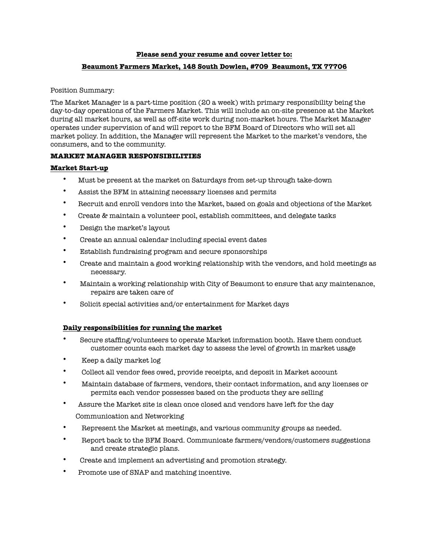#### **Please send your resume and cover letter to:**

# **Beaumont Farmers Market, 148 South Dowlen, #709 Beaumont, TX 77706**

Position Summary:

The Market Manager is a part-time position (20 a week) with primary responsibility being the day-to-day operations of the Farmers Market. This will include an on-site presence at the Market during all market hours, as well as off-site work during non-market hours. The Market Manager operates under supervision of and will report to the BFM Board of Directors who will set all market policy. In addition, the Manager will represent the Market to the market's vendors, the consumers, and to the community.

## **MARKET MANAGER RESPONSIBILITIES**

## **Market Start-up**

- Must be present at the market on Saturdays from set-up through take-down
- Assist the BFM in attaining necessary licenses and permits
- Recruit and enroll vendors into the Market, based on goals and objections of the Market
- Create & maintain a volunteer pool, establish committees, and delegate tasks
- Design the market's layout
- Create an annual calendar including special event dates
- Establish fundraising program and secure sponsorships
- Create and maintain a good working relationship with the vendors, and hold meetings as necessary.
- Maintain a working relationship with City of Beaumont to ensure that any maintenance, repairs are taken care of
- Solicit special activities and/or entertainment for Market days

## **Daily responsibilities for running the market**

- Secure staffing/volunteers to operate Market information booth. Have them conduct customer counts each market day to assess the level of growth in market usage
- Keep a daily market log
- Collect all vendor fees owed, provide receipts, and deposit in Market account
- Maintain database of farmers, vendors, their contact information, and any licenses or permits each vendor possesses based on the products they are selling
- Assure the Market site is clean once closed and vendors have left for the day
	- Communication and Networking
- Represent the Market at meetings, and various community groups as needed.
- Report back to the BFM Board. Communicate farmers/vendors/customers suggestions and create strategic plans.
- Create and implement an advertising and promotion strategy.
- Promote use of SNAP and matching incentive.